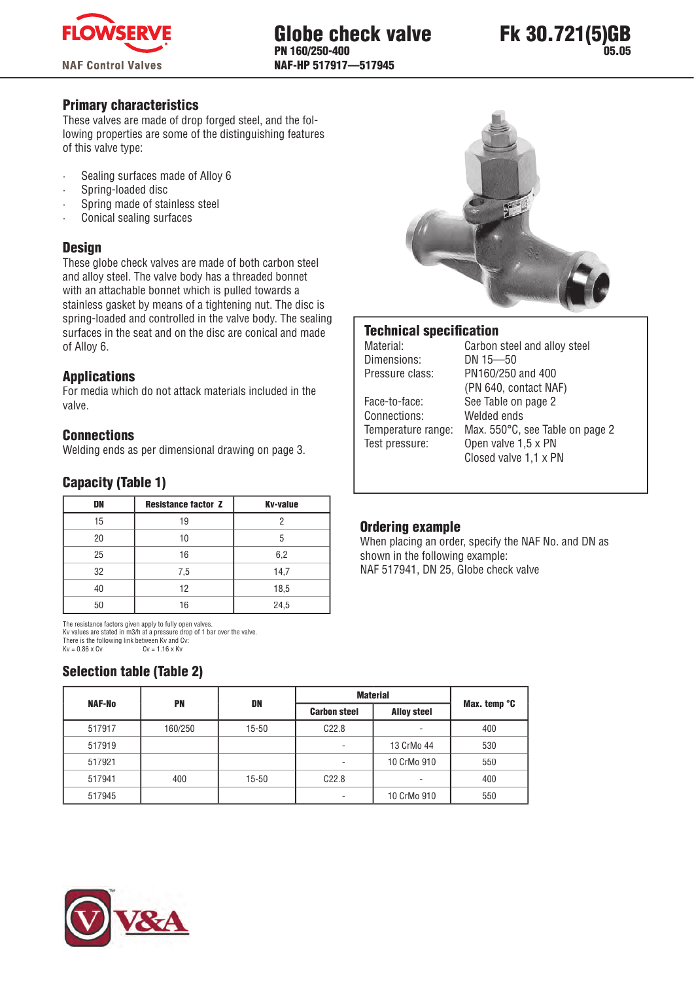



### Primary characteristics

These valves are made of drop forged steel, and the following properties are some of the distinguishing features of this valve type:

- Sealing surfaces made of Alloy 6
- Spring-loaded disc
- Spring made of stainless steel
- Conical sealing surfaces

### **Design**

These globe check valves are made of both carbon steel and alloy steel. The valve body has a threaded bonnet with an attachable bonnet which is pulled towards a stainless gasket by means of a tightening nut. The disc is spring-loaded and controlled in the valve body. The sealing surfaces in the seat and on the disc are conical and made of Alloy 6.

# Applications

For media which do not attack materials included in the valve.

### **Connections**

Welding ends as per dimensional drawing on page 3.

# Capacity (Table 1)

| DN | <b>Resistance factor Z</b> | <b>Kv-value</b> |
|----|----------------------------|-----------------|
| 15 | 19                         |                 |
| 20 | 10                         | 5               |
| 25 | 16                         | 6,2             |
| 32 | 7,5                        | 14,7            |
| 40 | 12                         | 18,5            |
| 50 | 16                         | 24,5            |

The resistance factors given apply to fully open valves. Kv values are stated in m3/h at a pressure drop of 1 bar over the valve. There is the following link between Kv and Cv:<br> $Kv = 0.86 \times Cv$ :<br> $Cv = 1.16 \times Kv$  $Cv = 1.16$  x Kv

# Selection table (Table 2)



### **Technical specification**

Dimensions: DN 15—50 Pressure class: PN160/250 and 400 Face-to-face: See Table on page 2 Connections: Welded ends Test pressure: Open valve 1,5 x PN

Material: Carbon steel and alloy steel (PN 640, contact NAF) Temperature range: Max. 550°C, see Table on page 2 Closed valve 1,1 x PN

# Ordering example

When placing an order, specify the NAF No. and DN as shown in the following example: NAF 517941, DN 25, Globe check valve

| <b>NAF-No</b> |         | <b>PN</b><br>DN |                     | <b>Material</b>    |              |  |  |
|---------------|---------|-----------------|---------------------|--------------------|--------------|--|--|
|               |         |                 | <b>Carbon steel</b> | <b>Alloy steel</b> | Max. temp °C |  |  |
| 517917        | 160/250 | $15 - 50$       | C22.8               | ۰                  | 400          |  |  |
| 517919        |         |                 | ۰                   | 13 CrMo 44         | 530          |  |  |
| 517921        |         |                 | ٠                   | 10 CrMo 910        | 550          |  |  |
| 517941        | 400     | $15 - 50$       | C22.8               | ٠                  | 400          |  |  |
| 517945        |         |                 | ٠                   | 10 CrMo 910        | 550          |  |  |

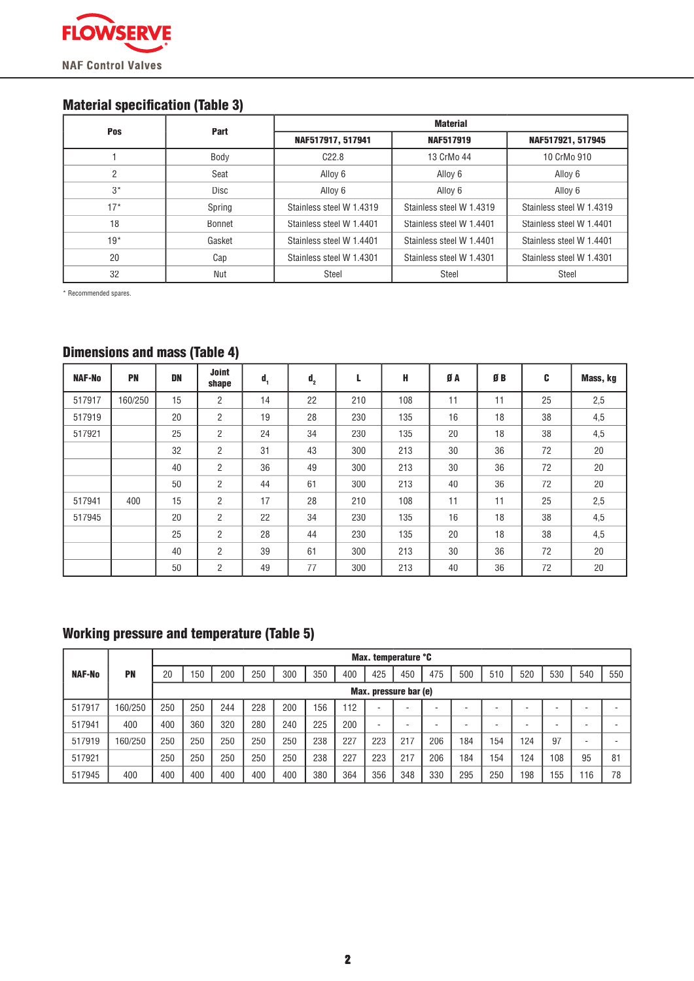

# **Material specification (Table 3)**

| <b>Pos</b> | Part        | <b>Material</b>          |                          |                          |  |  |  |  |  |
|------------|-------------|--------------------------|--------------------------|--------------------------|--|--|--|--|--|
|            |             | NAF517917, 517941        | <b>NAF517919</b>         | NAF517921, 517945        |  |  |  |  |  |
|            | Body        | C22.8                    | 13 CrMo 44               | 10 CrMo 910              |  |  |  |  |  |
| 2          | Seat        | Alloy 6                  | Alloy 6                  | Alloy 6                  |  |  |  |  |  |
| $3^*$      | <b>Disc</b> | Alloy 6                  | Alloy 6                  | Alloy 6                  |  |  |  |  |  |
| 17*        | Spring      | Stainless steel W 1.4319 | Stainless steel W 1.4319 | Stainless steel W 1.4319 |  |  |  |  |  |
| 18         | Bonnet      | Stainless steel W 1.4401 | Stainless steel W 1.4401 | Stainless steel W 1.4401 |  |  |  |  |  |
| $19*$      | Gasket      | Stainless steel W 1.4401 | Stainless steel W 1.4401 | Stainless steel W 1.4401 |  |  |  |  |  |
| 20         | Cap         | Stainless steel W 1.4301 | Stainless steel W 1.4301 | Stainless steel W 1.4301 |  |  |  |  |  |
| 32         | Nut         | Steel                    | Steel                    | Steel                    |  |  |  |  |  |

\* Recommended spares.

# Dimensions and mass (Table 4)

| <b>NAF-No</b> | <b>PN</b> | DN | <b>Joint</b><br>shape | $\mathbf{d}_{\mathbf{q}}$ | $\mathbf{d}_{2}$ | L   | H   | ØА | ØB | C  | Mass, kg |  |
|---------------|-----------|----|-----------------------|---------------------------|------------------|-----|-----|----|----|----|----------|--|
| 517917        | 160/250   | 15 | $\overline{2}$        | 14                        | 22               | 210 | 108 | 11 | 11 | 25 | 2,5      |  |
| 517919        |           | 20 | $\overline{2}$        | 19                        | 28               | 230 | 135 | 16 | 18 | 38 | 4,5      |  |
| 517921        |           | 25 | $\overline{2}$        | 24                        | 34               | 230 | 135 | 20 | 18 | 38 | 4,5      |  |
|               |           | 32 | $\overline{2}$        | 31                        | 43               | 300 | 213 | 30 | 36 | 72 | 20       |  |
|               |           | 40 | $\overline{2}$        | 36                        | 49               | 300 | 213 | 30 | 36 | 72 | 20       |  |
|               |           | 50 | $\overline{2}$        | 44                        | 61               | 300 | 213 | 40 | 36 | 72 | 20       |  |
| 517941        | 400       | 15 | $\overline{2}$        | 17                        | 28               | 210 | 108 | 11 | 11 | 25 | 2,5      |  |
| 517945        |           | 20 | $\overline{2}$        | 22                        | 34               | 230 | 135 | 16 | 18 | 38 | 4,5      |  |
|               |           | 25 | $\overline{2}$        | 28                        | 44               | 230 | 135 | 20 | 18 | 38 | 4,5      |  |
|               |           | 40 | $\overline{2}$        | 39                        | 61               | 300 | 213 | 30 | 36 | 72 | 20       |  |
|               |           | 50 | $\overline{2}$        | 49                        | 77               | 300 | 213 | 40 | 36 | 72 | 20       |  |

# Working pressure and temperature (Table 5)

|               |           | Max. temperature °C |                       |     |     |     |     |     |                          |     |     |     |     |     |     |     |     |
|---------------|-----------|---------------------|-----------------------|-----|-----|-----|-----|-----|--------------------------|-----|-----|-----|-----|-----|-----|-----|-----|
| <b>NAF-No</b> | <b>PN</b> | 20                  | 150                   | 200 | 250 | 300 | 350 | 400 | 425                      | 450 | 475 | 500 | 510 | 520 | 530 | 540 | 550 |
|               |           |                     | Max. pressure bar (e) |     |     |     |     |     |                          |     |     |     |     |     |     |     |     |
| 517917        | 160/250   | 250                 | 250                   | 244 | 228 | 200 | 156 | 112 | $\overline{\phantom{a}}$ | -   | ۰   |     | -   | -   |     |     |     |
| 517941        | 400       | 400                 | 360                   | 320 | 280 | 240 | 225 | 200 | $\overline{\phantom{a}}$ |     | ۰   |     | -   | -   |     |     |     |
| 517919        | 160/250   | 250                 | 250                   | 250 | 250 | 250 | 238 | 227 | 223                      | 217 | 206 | 184 | 154 | 124 | 97  |     |     |
| 517921        |           | 250                 | 250                   | 250 | 250 | 250 | 238 | 227 | 223                      | 217 | 206 | 184 | 154 | 124 | 108 | 95  | 81  |
| 517945        | 400       | 400                 | 400                   | 400 | 400 | 400 | 380 | 364 | 356                      | 348 | 330 | 295 | 250 | 198 | 155 | 116 | 78  |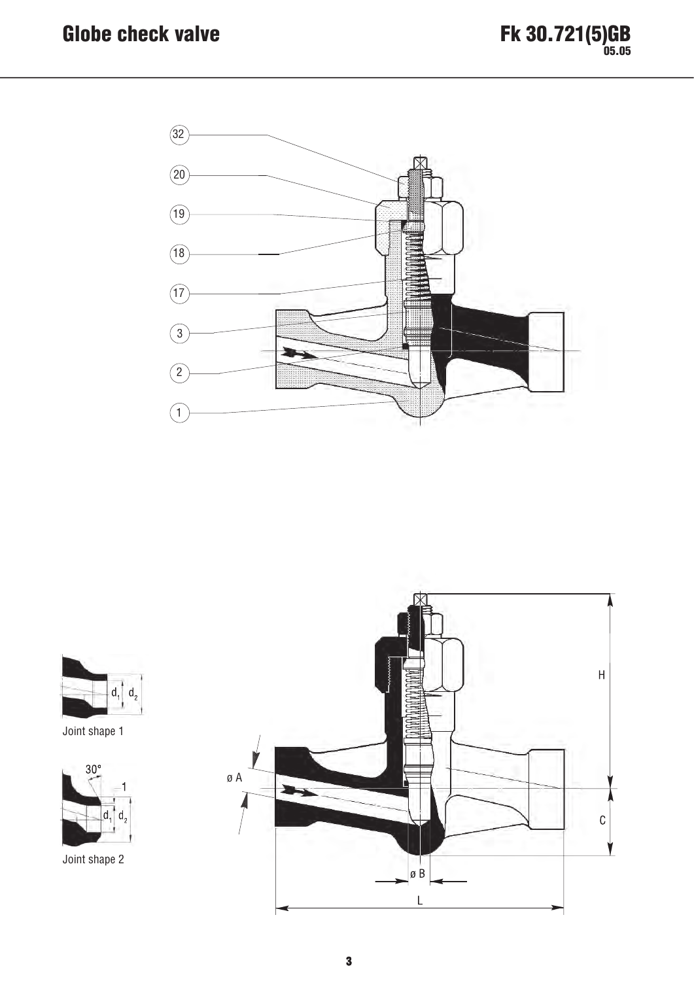



Joint shape 1



Joint shape 2